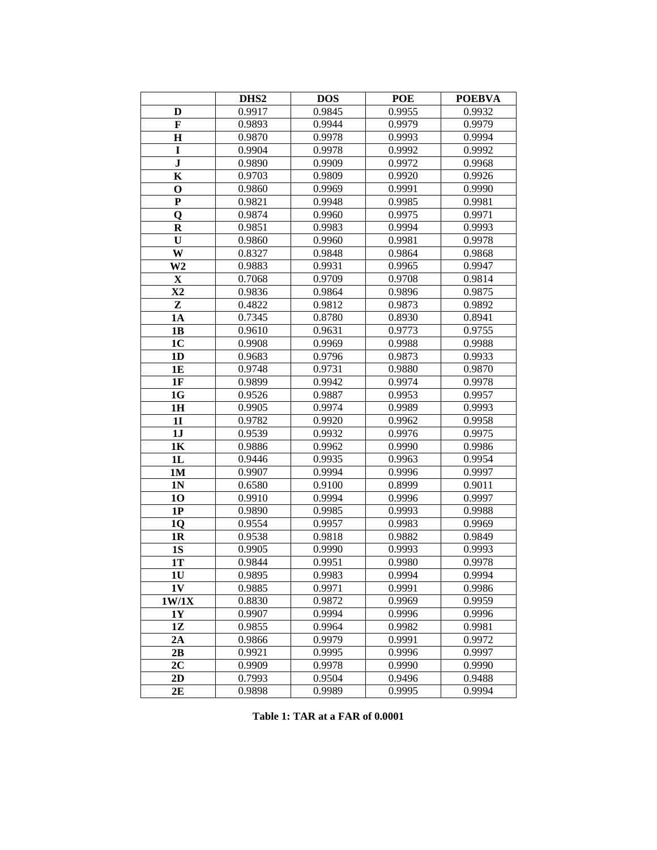|                | DHS <sub>2</sub> | <b>DOS</b>       | POE              | <b>POEBVA</b>    |
|----------------|------------------|------------------|------------------|------------------|
| D              | 0.9917           | 0.9845           | 0.9955           | 0.9932           |
| $\mathbf F$    | 0.9893           | 0.9944           | 0.9979           | 0.9979           |
| $\bf H$        | 0.9870           | 0.9978           | 0.9993           | 0.9994           |
| I              | 0.9904           | 0.9978           | 0.9992           | 0.9992           |
| ${\bf J}$      | 0.9890           | 0.9909           | 0.9972           | 0.9968           |
| K              | 0.9703           | 0.9809           | 0.9920           | 0.9926           |
| $\mathbf 0$    | 0.9860           | 0.9969           | 0.9991           | 0.9990           |
| ${\bf P}$      | 0.9821           | 0.9948           | 0.9985           | 0.9981           |
| $\mathbf Q$    | 0.9874           | 0.9960           | 0.9975           | 0.9971           |
| $\bf R$        | 0.9851           | 0.9983           | 0.9994           | 0.9993           |
| U              | 0.9860           | 0.9960           | 0.9981           | 0.9978           |
| W              | 0.8327           | 0.9848           | 0.9864           | 0.9868           |
| W <sub>2</sub> | 0.9883           | 0.9931           | 0.9965           | 0.9947           |
| $\mathbf X$    | 0.7068           | 0.9709           | 0.9708           | 0.9814           |
| $\mathbf{X}2$  | 0.9836           | 0.9864           | 0.9896           | 0.9875           |
| Z              | 0.4822           | 0.9812           | 0.9873           | 0.9892           |
| <b>1A</b>      | 0.7345           | 0.8780           | 0.8930           | 0.8941           |
| 1B             | 0.9610           | 0.9631           | 0.9773           | 0.9755           |
| 1 <sub>C</sub> | 0.9908           | 0.9969           | 0.9988           | 0.9988           |
| 1 <sub>D</sub> | 0.9683           | 0.9796           | 0.9873           | 0.9933           |
| 1E             | 0.9748           | 0.9731           | 0.9880           | 0.9870           |
| 1F             | 0.9899           | 0.9942           | 0.9974           | 0.9978           |
| 1G             | 0.9526           | 0.9887           | 0.9953           | 0.9957           |
| 1H             | 0.9905           | 0.9974           | 0.9989           | 0.9993           |
| 1 <sub>I</sub> | 0.9782           | 0.9920           | 0.9962           | 0.9958           |
| 1J             | 0.9539           | 0.9932           | 0.9976           | 0.9975           |
| 1K             | 0.9886           | 0.9962           | 0.9990           | 0.9986           |
| 1L             | 0.9446           | 0.9935           | 0.9963           | 0.9954           |
| <b>1M</b>      | 0.9907           | 0.9994           | 0.9996           | 0.9997           |
| 1 <sub>N</sub> | 0.6580           | 0.9100           | 0.8999           | 0.9011           |
| 10             | 0.9910           | 0.9994           | 0.9996           | 0.9997           |
| 1P             | 0.9890           | 0.9985           | 0.9993           | 0.9988           |
| 1 <sub>Q</sub> | 0.9554           | 0.9957           | 0.9983           | 0.9969           |
| 1 <sub>R</sub> | 0.9538           | 0.9818           | 0.9882           | 0.9849           |
| <b>1S</b>      | 0.9905<br>0.9844 | 0.9990<br>0.9951 | 0.9993           | 0.9993           |
| 1T             |                  |                  | 0.9980           | 0.9978           |
| 1 <sub>U</sub> | 0.9895           | 0.9983<br>0.9971 | 0.9994<br>0.9991 | 0.9994           |
| 1V             | 0.9885           |                  |                  | 0.9986           |
| 1W/1X<br>1Y    | 0.8830<br>0.9907 | 0.9872<br>0.9994 | 0.9969<br>0.9996 | 0.9959<br>0.9996 |
| 1Z             | 0.9855           | 0.9964           | 0.9982           | 0.9981           |
| 2A             | 0.9866           | 0.9979           | 0.9991           | 0.9972           |
| 2B             | 0.9921           | 0.9995           | 0.9996           | 0.9997           |
| 2C             | 0.9909           | 0.9978           | 0.9990           | 0.9990           |
| 2D             | 0.7993           | 0.9504           | 0.9496           | 0.9488           |
| 2E             | 0.9898           | 0.9989           | 0.9995           | 0.9994           |
|                |                  |                  |                  |                  |

**Table 1: TAR at a FAR of 0.0001**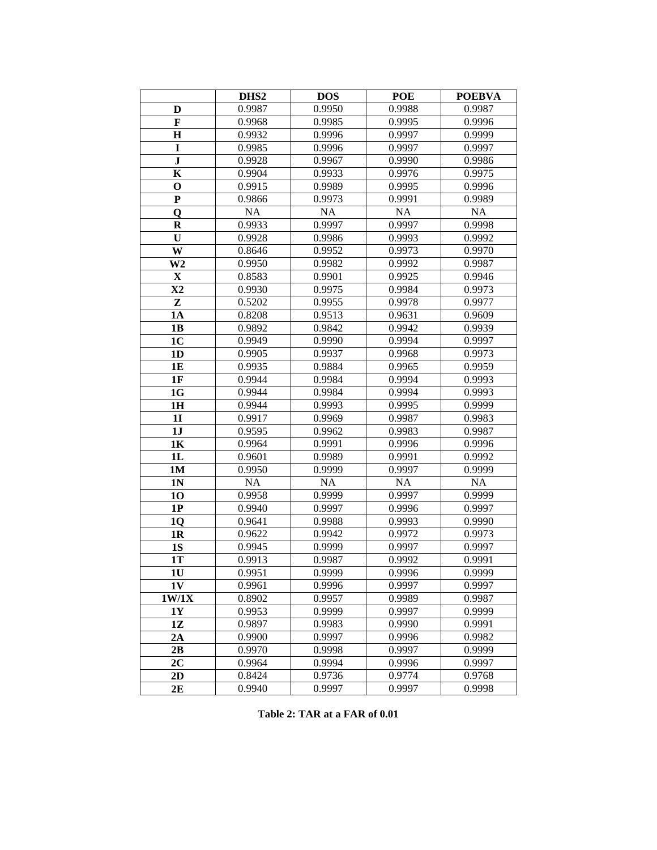|                | DHS <sub>2</sub> | <b>DOS</b> | POE    | <b>POEBVA</b> |
|----------------|------------------|------------|--------|---------------|
| D              | 0.9987           | 0.9950     | 0.9988 | 0.9987        |
| $\mathbf F$    | 0.9968           | 0.9985     | 0.9995 | 0.9996        |
| $\bf H$        | 0.9932           | 0.9996     | 0.9997 | 0.9999        |
| I              | 0.9985           | 0.9996     | 0.9997 | 0.9997        |
| ${\bf J}$      | 0.9928           | 0.9967     | 0.9990 | 0.9986        |
| K              | 0.9904           | 0.9933     | 0.9976 | 0.9975        |
| $\mathbf 0$    | 0.9915           | 0.9989     | 0.9995 | 0.9996        |
| ${\bf P}$      | 0.9866           | 0.9973     | 0.9991 | 0.9989        |
| $\mathbf 0$    | NA               | <b>NA</b>  | NA     | NA            |
| $\bf R$        | 0.9933           | 0.9997     | 0.9997 | 0.9998        |
| U              | 0.9928           | 0.9986     | 0.9993 | 0.9992        |
| W              | 0.8646           | 0.9952     | 0.9973 | 0.9970        |
| W <sub>2</sub> | 0.9950           | 0.9982     | 0.9992 | 0.9987        |
| $\mathbf X$    | 0.8583           | 0.9901     | 0.9925 | 0.9946        |
| $\mathbf{X}2$  | 0.9930           | 0.9975     | 0.9984 | 0.9973        |
| Z              | 0.5202           | 0.9955     | 0.9978 | 0.9977        |
| <b>1A</b>      | 0.8208           | 0.9513     | 0.9631 | 0.9609        |
| 1B             | 0.9892           | 0.9842     | 0.9942 | 0.9939        |
| 1 <sub>C</sub> | 0.9949           | 0.9990     | 0.9994 | 0.9997        |
| 1 <sub>D</sub> | 0.9905           | 0.9937     | 0.9968 | 0.9973        |
| 1E             | 0.9935           | 0.9884     | 0.9965 | 0.9959        |
| 1F             | 0.9944           | 0.9984     | 0.9994 | 0.9993        |
| 1G             | 0.9944           | 0.9984     | 0.9994 | 0.9993        |
| 1H             | 0.9944           | 0.9993     | 0.9995 | 0.9999        |
| <b>1I</b>      | 0.9917           | 0.9969     | 0.9987 | 0.9983        |
| 1J             | 0.9595           | 0.9962     | 0.9983 | 0.9987        |
| 1K             | 0.9964           | 0.9991     | 0.9996 | 0.9996        |
| 1L             | 0.9601           | 0.9989     | 0.9991 | 0.9992        |
| <b>1M</b>      | 0.9950           | 0.9999     | 0.9997 | 0.9999        |
| 1 <sub>N</sub> | NA               | <b>NA</b>  | NA     | NA            |
| 10             | 0.9958           | 0.9999     | 0.9997 | 0.9999        |
| 1P             | 0.9940           | 0.9997     | 0.9996 | 0.9997        |
| 1 <sub>Q</sub> | 0.9641           | 0.9988     | 0.9993 | 0.9990        |
| 1 <sub>R</sub> | 0.9622           | 0.9942     | 0.9972 | 0.9973        |
| <b>1S</b>      | 0.9945           | 0.9999     | 0.9997 | 0.9997        |
| 1T             | 0.9913           | 0.9987     | 0.9992 | 0.9991        |
| 1 <sub>U</sub> | 0.9951           | 0.9999     | 0.9996 | 0.9999        |
| 1V             | 0.9961           | 0.9996     | 0.9997 | 0.9997        |
| 1W/1X          | 0.8902           | 0.9957     | 0.9989 | 0.9987        |
| 1Y             | 0.9953           | 0.9999     | 0.9997 | 0.9999        |
| 1Z             | 0.9897           | 0.9983     | 0.9990 | 0.9991        |
| 2A             | 0.9900           | 0.9997     | 0.9996 | 0.9982        |
| 2B             | 0.9970           | 0.9998     | 0.9997 | 0.9999        |
| 2C             | 0.9964           | 0.9994     | 0.9996 | 0.9997        |
| 2D             | 0.8424           | 0.9736     | 0.9774 | 0.9768        |
| 2E             | 0.9940           | 0.9997     | 0.9997 | 0.9998        |

**Table 2: TAR at a FAR of 0.01**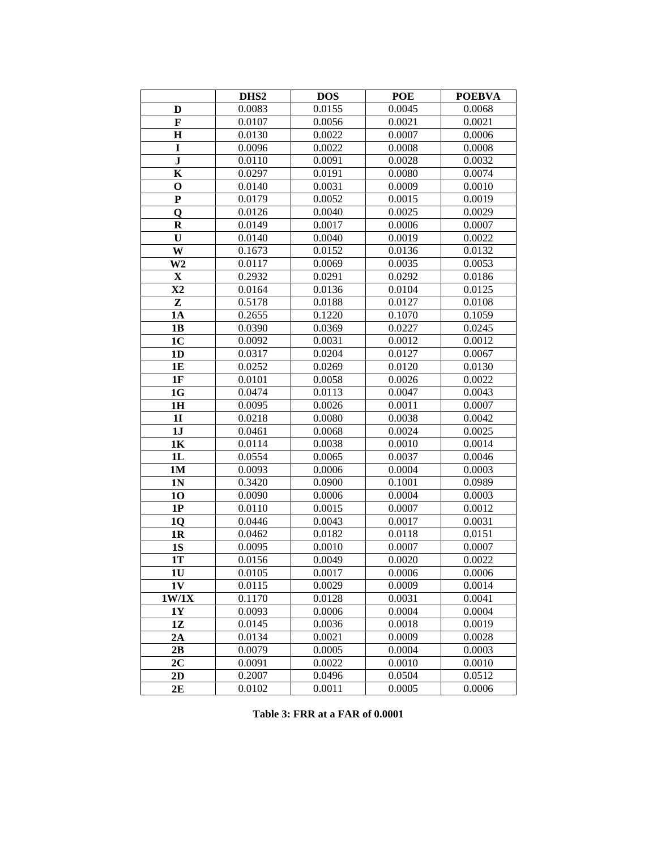|                         | DHS <sub>2</sub> | <b>DOS</b> | <b>POE</b> | <b>POEBVA</b> |
|-------------------------|------------------|------------|------------|---------------|
| D                       | 0.0083           | 0.0155     | 0.0045     | 0.0068        |
| $\mathbf F$             | 0.0107           | 0.0056     | 0.0021     | 0.0021        |
| $\bf H$                 | 0.0130           | 0.0022     | 0.0007     | 0.0006        |
| I                       | 0.0096           | 0.0022     | 0.0008     | 0.0008        |
| ${\bf J}$               | 0.0110           | 0.0091     | 0.0028     | 0.0032        |
| K                       | 0.0297           | 0.0191     | 0.0080     | 0.0074        |
| $\mathbf 0$             | 0.0140           | 0.0031     | 0.0009     | 0.0010        |
| ${\bf P}$               | 0.0179           | 0.0052     | 0.0015     | 0.0019        |
| $\overline{\mathbf{Q}}$ | 0.0126           | 0.0040     | 0.0025     | 0.0029        |
| $\bf R$                 | 0.0149           | 0.0017     | 0.0006     | 0.0007        |
| U                       | 0.0140           | 0.0040     | 0.0019     | 0.0022        |
| W                       | 0.1673           | 0.0152     | 0.0136     | 0.0132        |
| W <sub>2</sub>          | 0.0117           | 0.0069     | 0.0035     | 0.0053        |
| $\mathbf X$             | 0.2932           | 0.0291     | 0.0292     | 0.0186        |
| $\mathbf{X}2$           | 0.0164           | 0.0136     | 0.0104     | 0.0125        |
| Z                       | 0.5178           | 0.0188     | 0.0127     | 0.0108        |
| <b>1A</b>               | 0.2655           | 0.1220     | 0.1070     | 0.1059        |
| 1B                      | 0.0390           | 0.0369     | 0.0227     | 0.0245        |
| 1 <sub>C</sub>          | 0.0092           | 0.0031     | 0.0012     | 0.0012        |
| 1 <sub>D</sub>          | 0.0317           | 0.0204     | 0.0127     | 0.0067        |
| 1E                      | 0.0252           | 0.0269     | 0.0120     | 0.0130        |
| 1F                      | 0.0101           | 0.0058     | 0.0026     | 0.0022        |
| 1G                      | 0.0474           | 0.0113     | 0.0047     | 0.0043        |
| 1H                      | 0.0095           | 0.0026     | 0.0011     | 0.0007        |
| 1 <sub>I</sub>          | 0.0218           | 0.0080     | 0.0038     | 0.0042        |
| 1J                      | 0.0461           | 0.0068     | 0.0024     | 0.0025        |
| 1K                      | 0.0114           | 0.0038     | 0.0010     | 0.0014        |
| 1L                      | 0.0554           | 0.0065     | 0.0037     | 0.0046        |
| <b>1M</b>               | 0.0093           | 0.0006     | 0.0004     | 0.0003        |
| 1 <sub>N</sub>          | 0.3420           | 0.0900     | 0.1001     | 0.0989        |
| 10                      | 0.0090           | 0.0006     | 0.0004     | 0.0003        |
| 1P                      | 0.0110           | 0.0015     | 0.0007     | 0.0012        |
| <b>1Q</b>               | 0.0446           | 0.0043     | 0.0017     | 0.0031        |
| 1 <sub>R</sub>          | 0.0462           | 0.0182     | 0.0118     | 0.0151        |
| 1S                      | 0.0095           | 0.0010     | 0.0007     | 0.0007        |
| 1T                      | 0.0156           | 0.0049     | 0.0020     | 0.0022        |
| 1 <sub>U</sub>          | 0.0105           | 0.0017     | 0.0006     | 0.0006        |
| 1V                      | 0.0115           | 0.0029     | 0.0009     | 0.0014        |
| 1W/1X                   | 0.1170           | 0.0128     | 0.0031     | 0.0041        |
| 1Y                      | 0.0093           | 0.0006     | 0.0004     | 0.0004        |
| 1Z                      | 0.0145           | 0.0036     | 0.0018     | 0.0019        |
| 2A                      | 0.0134           | 0.0021     | 0.0009     | 0.0028        |
| 2B                      | 0.0079           | 0.0005     | 0.0004     | 0.0003        |
| 2C                      | 0.0091           | 0.0022     | 0.0010     | 0.0010        |
| 2D                      | 0.2007           | 0.0496     | 0.0504     | 0.0512        |
| 2E                      | 0.0102           | 0.0011     | 0.0005     | 0.0006        |

**Table 3: FRR at a FAR of 0.0001**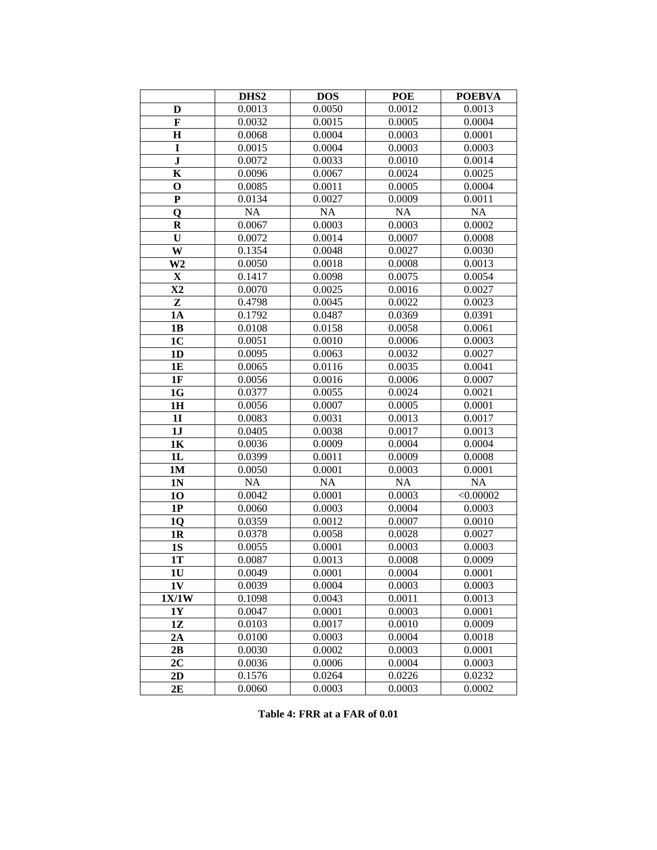|                | DHS <sub>2</sub> | <b>DOS</b>       | <b>POE</b>       | <b>POEBVA</b>    |
|----------------|------------------|------------------|------------------|------------------|
| D              | 0.0013           | 0.0050           | 0.0012           | 0.0013           |
| $\mathbf F$    | 0.0032           | 0.0015           | 0.0005           | 0.0004           |
| $\bf H$        | 0.0068           | 0.0004           | 0.0003           | 0.0001           |
| I              | 0.0015           | 0.0004           | 0.0003           | 0.0003           |
| ${\bf J}$      | 0.0072           | 0.0033           | 0.0010           | 0.0014           |
| $\mathbf K$    | 0.0096           | 0.0067           | 0.0024           | 0.0025           |
| $\mathbf 0$    | 0.0085           | 0.0011           | 0.0005           | 0.0004           |
| ${\bf P}$      | 0.0134           | 0.0027           | 0.0009           | 0.0011           |
| $\overline{Q}$ | NA               | NA               | NA               | NA               |
| $\bf R$        | 0.0067           | 0.0003           | 0.0003           | 0.0002           |
| U              | 0.0072           | 0.0014           | 0.0007           | 0.0008           |
| W              | 0.1354           | 0.0048           | 0.0027           | 0.0030           |
| W <sub>2</sub> | 0.0050           | 0.0018           | 0.0008           | 0.0013           |
| $\mathbf X$    | 0.1417           | 0.0098           | 0.0075           | 0.0054           |
| X2             | 0.0070           | 0.0025           | 0.0016           | 0.0027           |
| Z              | 0.4798           | 0.0045           | 0.0022           | 0.0023           |
| <b>1A</b>      | 0.1792           | 0.0487           | 0.0369           | 0.0391           |
| 1B             | 0.0108           | 0.0158           | 0.0058           | 0.0061           |
| 1 <sub>C</sub> | 0.0051           | 0.0010           | 0.0006           | 0.0003           |
| 1 <sub>D</sub> | 0.0095           | 0.0063           | 0.0032           | 0.0027           |
| 1E             | 0.0065           | 0.0116           | 0.0035           | 0.0041           |
| 1F             | 0.0056           | 0.0016           | 0.0006           | 0.0007           |
| 1G             | 0.0377           | 0.0055           | 0.0024           | 0.0021           |
| 1H             | 0.0056           | 0.0007           | 0.0005           | 0.0001           |
| <b>1I</b>      | 0.0083           | 0.0031           | 0.0013           | 0.0017           |
| 1J             | 0.0405           | 0.0038           | 0.0017           | 0.0013           |
| 1K             | 0.0036           | 0.0009           | 0.0004           | 0.0004           |
| 1L             | 0.0399           | 0.0011           | 0.0009           | 0.0008           |
| <b>1M</b>      | 0.0050           | 0.0001           | 0.0003           | 0.0001           |
| 1 <sub>N</sub> | <b>NA</b>        | NA               | NA               | NA               |
| 10             | 0.0042           | 0.0001           | 0.0003           | < 0.00002        |
| 1P             | 0.0060           | 0.0003           | 0.0004           | 0.0003           |
| <b>1Q</b>      | 0.0359           | 0.0012           | 0.0007           | 0.0010           |
| 1 <sub>R</sub> | 0.0378           | 0.0058           | 0.0028           | 0.0027           |
| <b>1S</b>      | 0.0055           | 0.0001           | 0.0003           | 0.0003           |
| 1T             | 0.0087           | 0.0013           | 0.0008           | 0.0009           |
| 1 <sub>U</sub> | 0.0049           | 0.0001           | 0.0004           | 0.0001           |
| 1V             | 0.0039           | 0.0004           | 0.0003           | 0.0003           |
| 1X/1W          | 0.1098           | 0.0043           | 0.0011           | 0.0013           |
| 1Y             | 0.0047<br>0.0103 | 0.0001<br>0.0017 | 0.0003<br>0.0010 | 0.0001<br>0.0009 |
| 1Z<br>2A       | 0.0100           | 0.0003           | 0.0004           | 0.0018           |
| 2B             | 0.0030           | 0.0002           | 0.0003           | 0.0001           |
| 2C             | 0.0036           | 0.0006           | 0.0004           | 0.0003           |
| 2D             | 0.1576           | 0.0264           | 0.0226           | 0.0232           |
| 2E             | 0.0060           | 0.0003           | 0.0003           | 0.0002           |
|                |                  |                  |                  |                  |

**Table 4: FRR at a FAR of 0.01**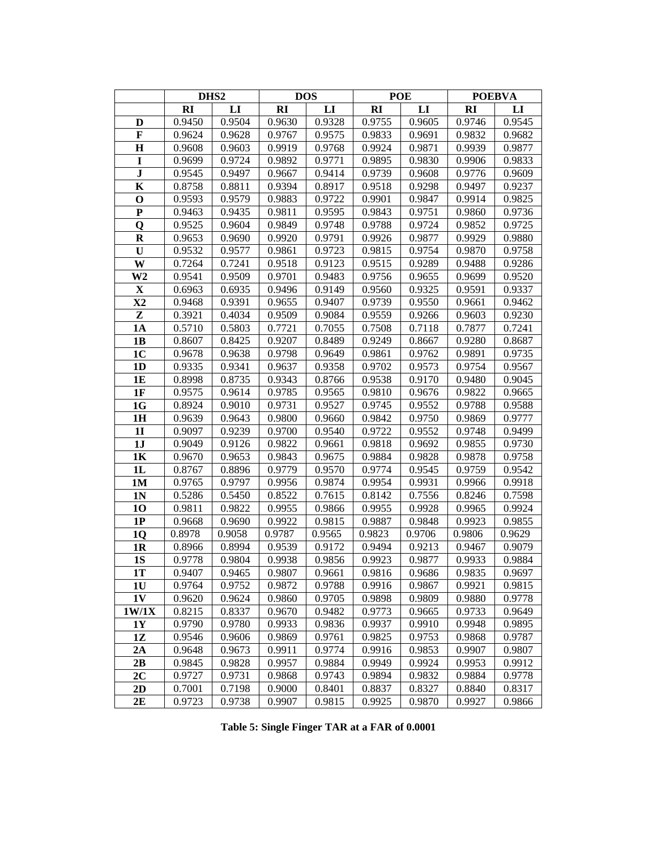|                |           | DHS <sub>2</sub> |           | <b>DOS</b> |           | <b>POE</b>   | <b>POEBVA</b> |        |
|----------------|-----------|------------------|-----------|------------|-----------|--------------|---------------|--------|
|                | <b>RI</b> | LI               | <b>RI</b> | LI         | <b>RI</b> | $\mathbf{L}$ | <b>RI</b>     | LI     |
| D              | 0.9450    | 0.9504           | 0.9630    | 0.9328     | 0.9755    | 0.9605       | 0.9746        | 0.9545 |
| $\mathbf F$    | 0.9624    | 0.9628           | 0.9767    | 0.9575     | 0.9833    | 0.9691       | 0.9832        | 0.9682 |
| $\mathbf H$    | 0.9608    | 0.9603           | 0.9919    | 0.9768     | 0.9924    | 0.9871       | 0.9939        | 0.9877 |
| I              | 0.9699    | 0.9724           | 0.9892    | 0.9771     | 0.9895    | 0.9830       | 0.9906        | 0.9833 |
| ${\bf J}$      | 0.9545    | 0.9497           | 0.9667    | 0.9414     | 0.9739    | 0.9608       | 0.9776        | 0.9609 |
| K              | 0.8758    | 0.8811           | 0.9394    | 0.8917     | 0.9518    | 0.9298       | 0.9497        | 0.9237 |
| $\mathbf 0$    | 0.9593    | 0.9579           | 0.9883    | 0.9722     | 0.9901    | 0.9847       | 0.9914        | 0.9825 |
| ${\bf P}$      | 0.9463    | 0.9435           | 0.9811    | 0.9595     | 0.9843    | 0.9751       | 0.9860        | 0.9736 |
| Q              | 0.9525    | 0.9604           | 0.9849    | 0.9748     | 0.9788    | 0.9724       | 0.9852        | 0.9725 |
| $\bf R$        | 0.9653    | 0.9690           | 0.9920    | 0.9791     | 0.9926    | 0.9877       | 0.9929        | 0.9880 |
| $\mathbf U$    | 0.9532    | 0.9577           | 0.9861    | 0.9723     | 0.9815    | 0.9754       | 0.9870        | 0.9758 |
| W              | 0.7264    | 0.7241           | 0.9518    | 0.9123     | 0.9515    | 0.9289       | 0.9488        | 0.9286 |
| W <sub>2</sub> | 0.9541    | 0.9509           | 0.9701    | 0.9483     | 0.9756    | 0.9655       | 0.9699        | 0.9520 |
| X              | 0.6963    | 0.6935           | 0.9496    | 0.9149     | 0.9560    | 0.9325       | 0.9591        | 0.9337 |
| $\mathbf{X}2$  | 0.9468    | 0.9391           | 0.9655    | 0.9407     | 0.9739    | 0.9550       | 0.9661        | 0.9462 |
| Z              | 0.3921    | 0.4034           | 0.9509    | 0.9084     | 0.9559    | 0.9266       | 0.9603        | 0.9230 |
| <b>1A</b>      | 0.5710    | 0.5803           | 0.7721    | 0.7055     | 0.7508    | 0.7118       | 0.7877        | 0.7241 |
| 1B             | 0.8607    | 0.8425           | 0.9207    | 0.8489     | 0.9249    | 0.8667       | 0.9280        | 0.8687 |
| 1 <sub>C</sub> | 0.9678    | 0.9638           | 0.9798    | 0.9649     | 0.9861    | 0.9762       | 0.9891        | 0.9735 |
| 1 <sub>D</sub> | 0.9335    | 0.9341           | 0.9637    | 0.9358     | 0.9702    | 0.9573       | 0.9754        | 0.9567 |
| 1E             | 0.8998    | 0.8735           | 0.9343    | 0.8766     | 0.9538    | 0.9170       | 0.9480        | 0.9045 |
| 1F             | 0.9575    | 0.9614           | 0.9785    | 0.9565     | 0.9810    | 0.9676       | 0.9822        | 0.9665 |
| 1G             | 0.8924    | 0.9010           | 0.9731    | 0.9527     | 0.9745    | 0.9552       | 0.9788        | 0.9588 |
| 1H             | 0.9639    | 0.9643           | 0.9800    | 0.9660     | 0.9842    | 0.9750       | 0.9869        | 0.9777 |
| <b>1I</b>      | 0.9097    | 0.9239           | 0.9700    | 0.9540     | 0.9722    | 0.9552       | 0.9748        | 0.9499 |
| 1J             | 0.9049    | 0.9126           | 0.9822    | 0.9661     | 0.9818    | 0.9692       | 0.9855        | 0.9730 |
| 1 <sub>K</sub> | 0.9670    | 0.9653           | 0.9843    | 0.9675     | 0.9884    | 0.9828       | 0.9878        | 0.9758 |
| 1L             | 0.8767    | 0.8896           | 0.9779    | 0.9570     | 0.9774    | 0.9545       | 0.9759        | 0.9542 |
| 1M             | 0.9765    | 0.9797           | 0.9956    | 0.9874     | 0.9954    | 0.9931       | 0.9966        | 0.9918 |
| 1 <sub>N</sub> | 0.5286    | 0.5450           | 0.8522    | 0.7615     | 0.8142    | 0.7556       | 0.8246        | 0.7598 |
| 10             | 0.9811    | 0.9822           | 0.9955    | 0.9866     | 0.9955    | 0.9928       | 0.9965        | 0.9924 |
| 1P             | 0.9668    | 0.9690           | 0.9922    | 0.9815     | 0.9887    | 0.9848       | 0.9923        | 0.9855 |
| 1Q             | 0.8978    | 0.9058           | 0.9787    | 0.9565     | 0.9823    | 0.9706       | 0.9806        | 0.9629 |
| 1R             | 0.8966    | 0.8994           | 0.9539    | 0.9172     | 0.9494    | 0.9213       | 0.9467        | 0.9079 |
| <b>1S</b>      | 0.9778    | 0.9804           | 0.9938    | 0.9856     | 0.9923    | 0.9877       | 0.9933        | 0.9884 |
| 1T             | 0.9407    | 0.9465           | 0.9807    | 0.9661     | 0.9816    | 0.9686       | 0.9835        | 0.9697 |
| 1 <sub>U</sub> | 0.9764    | 0.9752           | 0.9872    | 0.9788     | 0.9916    | 0.9867       | 0.9921        | 0.9815 |
| 1V             | 0.9620    | 0.9624           | 0.9860    | 0.9705     | 0.9898    | 0.9809       | 0.9880        | 0.9778 |
| 1W/1X          | 0.8215    | 0.8337           | 0.9670    | 0.9482     | 0.9773    | 0.9665       | 0.9733        | 0.9649 |
| 1Y             | 0.9790    | 0.9780           | 0.9933    | 0.9836     | 0.9937    | 0.9910       | 0.9948        | 0.9895 |
| 1Z             | 0.9546    | 0.9606           | 0.9869    | 0.9761     | 0.9825    | 0.9753       | 0.9868        | 0.9787 |
| 2A             | 0.9648    | 0.9673           | 0.9911    | 0.9774     | 0.9916    | 0.9853       | 0.9907        | 0.9807 |
| 2B             | 0.9845    | 0.9828           | 0.9957    | 0.9884     | 0.9949    | 0.9924       | 0.9953        | 0.9912 |
| 2 <sub>C</sub> | 0.9727    | 0.9731           | 0.9868    | 0.9743     | 0.9894    | 0.9832       | 0.9884        | 0.9778 |
| 2D             | 0.7001    | 0.7198           | 0.9000    | 0.8401     | 0.8837    | 0.8327       | 0.8840        | 0.8317 |
| 2E             | 0.9723    | 0.9738           | 0.9907    | 0.9815     | 0.9925    | 0.9870       | 0.9927        | 0.9866 |

**Table 5: Single Finger TAR at a FAR of 0.0001**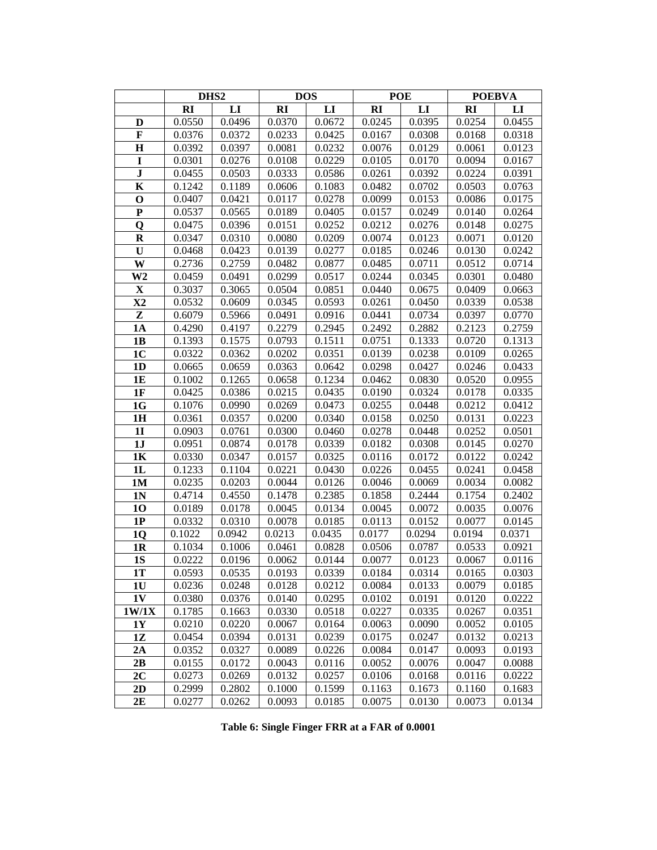|                |        | DHS <sub>2</sub> |        | <b>DOS</b> |           | <b>POE</b> | <b>POEBVA</b> |        |
|----------------|--------|------------------|--------|------------|-----------|------------|---------------|--------|
|                | RI     | LI               | R1     | LI         | <b>RI</b> | LI         | RI            | LI     |
| D              | 0.0550 | 0.0496           | 0.0370 | 0.0672     | 0.0245    | 0.0395     | 0.0254        | 0.0455 |
| $\mathbf F$    | 0.0376 | 0.0372           | 0.0233 | 0.0425     | 0.0167    | 0.0308     | 0.0168        | 0.0318 |
| $\mathbf H$    | 0.0392 | 0.0397           | 0.0081 | 0.0232     | 0.0076    | 0.0129     | 0.0061        | 0.0123 |
| $\mathbf I$    | 0.0301 | 0.0276           | 0.0108 | 0.0229     | 0.0105    | 0.0170     | 0.0094        | 0.0167 |
| ${\bf J}$      | 0.0455 | 0.0503           | 0.0333 | 0.0586     | 0.0261    | 0.0392     | 0.0224        | 0.0391 |
| $\mathbf K$    | 0.1242 | 0.1189           | 0.0606 | 0.1083     | 0.0482    | 0.0702     | 0.0503        | 0.0763 |
| $\mathbf 0$    | 0.0407 | 0.0421           | 0.0117 | 0.0278     | 0.0099    | 0.0153     | 0.0086        | 0.0175 |
| $\mathbf P$    | 0.0537 | 0.0565           | 0.0189 | 0.0405     | 0.0157    | 0.0249     | 0.0140        | 0.0264 |
| Q              | 0.0475 | 0.0396           | 0.0151 | 0.0252     | 0.0212    | 0.0276     | 0.0148        | 0.0275 |
| $\mathbf R$    | 0.0347 | 0.0310           | 0.0080 | 0.0209     | 0.0074    | 0.0123     | 0.0071        | 0.0120 |
| $\mathbf U$    | 0.0468 | 0.0423           | 0.0139 | 0.0277     | 0.0185    | 0.0246     | 0.0130        | 0.0242 |
| W              | 0.2736 | 0.2759           | 0.0482 | 0.0877     | 0.0485    | 0.0711     | 0.0512        | 0.0714 |
| W <sub>2</sub> | 0.0459 | 0.0491           | 0.0299 | 0.0517     | 0.0244    | 0.0345     | 0.0301        | 0.0480 |
| $\mathbf X$    | 0.3037 | 0.3065           | 0.0504 | 0.0851     | 0.0440    | 0.0675     | 0.0409        | 0.0663 |
| $\mathbf{X}2$  | 0.0532 | 0.0609           | 0.0345 | 0.0593     | 0.0261    | 0.0450     | 0.0339        | 0.0538 |
| Z              | 0.6079 | 0.5966           | 0.0491 | 0.0916     | 0.0441    | 0.0734     | 0.0397        | 0.0770 |
| <b>1A</b>      | 0.4290 | 0.4197           | 0.2279 | 0.2945     | 0.2492    | 0.2882     | 0.2123        | 0.2759 |
| 1 <b>B</b>     | 0.1393 | 0.1575           | 0.0793 | 0.1511     | 0.0751    | 0.1333     | 0.0720        | 0.1313 |
| 1 <sub>C</sub> | 0.0322 | 0.0362           | 0.0202 | 0.0351     | 0.0139    | 0.0238     | 0.0109        | 0.0265 |
| 1D             | 0.0665 | 0.0659           | 0.0363 | 0.0642     | 0.0298    | 0.0427     | 0.0246        | 0.0433 |
| 1E             | 0.1002 | 0.1265           | 0.0658 | 0.1234     | 0.0462    | 0.0830     | 0.0520        | 0.0955 |
| 1F             | 0.0425 | 0.0386           | 0.0215 | 0.0435     | 0.0190    | 0.0324     | 0.0178        | 0.0335 |
| 1G             | 0.1076 | 0.0990           | 0.0269 | 0.0473     | 0.0255    | 0.0448     | 0.0212        | 0.0412 |
| 1H             | 0.0361 | 0.0357           | 0.0200 | 0.0340     | 0.0158    | 0.0250     | 0.0131        | 0.0223 |
| 1I             | 0.0903 | 0.0761           | 0.0300 | 0.0460     | 0.0278    | 0.0448     | 0.0252        | 0.0501 |
| 1J             | 0.0951 | 0.0874           | 0.0178 | 0.0339     | 0.0182    | 0.0308     | 0.0145        | 0.0270 |
| 1K             | 0.0330 | 0.0347           | 0.0157 | 0.0325     | 0.0116    | 0.0172     | 0.0122        | 0.0242 |
| 1L             | 0.1233 | 0.1104           | 0.0221 | 0.0430     | 0.0226    | 0.0455     | 0.0241        | 0.0458 |
| 1M             | 0.0235 | 0.0203           | 0.0044 | 0.0126     | 0.0046    | 0.0069     | 0.0034        | 0.0082 |
| 1 <sub>N</sub> | 0.4714 | 0.4550           | 0.1478 | 0.2385     | 0.1858    | 0.2444     | 0.1754        | 0.2402 |
| 10             | 0.0189 | 0.0178           | 0.0045 | 0.0134     | 0.0045    | 0.0072     | 0.0035        | 0.0076 |
| 1P             | 0.0332 | 0.0310           | 0.0078 | 0.0185     | 0.0113    | 0.0152     | 0.0077        | 0.0145 |
| 1Q             | 0.1022 | 0.0942           | 0.0213 | 0.0435     | 0.0177    | 0.0294     | 0.0194        | 0.0371 |
| 1 <sub>R</sub> | 0.1034 | 0.1006           | 0.0461 | 0.0828     | 0.0506    | 0.0787     | 0.0533        | 0.0921 |
| 1S             | 0.0222 | 0.0196           | 0.0062 | 0.0144     | 0.0077    | 0.0123     | 0.0067        | 0.0116 |
| 1T             | 0.0593 | 0.0535           | 0.0193 | 0.0339     | 0.0184    | 0.0314     | 0.0165        | 0.0303 |
| 1 <sub>U</sub> | 0.0236 | 0.0248           | 0.0128 | 0.0212     | 0.0084    | 0.0133     | 0.0079        | 0.0185 |
| 1V             | 0.0380 | 0.0376           | 0.0140 | 0.0295     | 0.0102    | 0.0191     | 0.0120        | 0.0222 |
| 1W/1X          | 0.1785 | 0.1663           | 0.0330 | 0.0518     | 0.0227    | 0.0335     | 0.0267        | 0.0351 |
| 1Y             | 0.0210 | 0.0220           | 0.0067 | 0.0164     | 0.0063    | 0.0090     | 0.0052        | 0.0105 |
| 1Z             | 0.0454 | 0.0394           | 0.0131 | 0.0239     | 0.0175    | 0.0247     | 0.0132        | 0.0213 |
| 2A             | 0.0352 | 0.0327           | 0.0089 | 0.0226     | 0.0084    | 0.0147     | 0.0093        | 0.0193 |
| 2B             | 0.0155 | 0.0172           | 0.0043 | 0.0116     | 0.0052    | 0.0076     | 0.0047        | 0.0088 |
| 2C             | 0.0273 | 0.0269           | 0.0132 | 0.0257     | 0.0106    | 0.0168     | 0.0116        | 0.0222 |
| 2D             | 0.2999 | 0.2802           | 0.1000 | 0.1599     | 0.1163    | 0.1673     | 0.1160        | 0.1683 |
| 2E             | 0.0277 | 0.0262           | 0.0093 | 0.0185     | 0.0075    | 0.0130     | 0.0073        | 0.0134 |

**Table 6: Single Finger FRR at a FAR of 0.0001**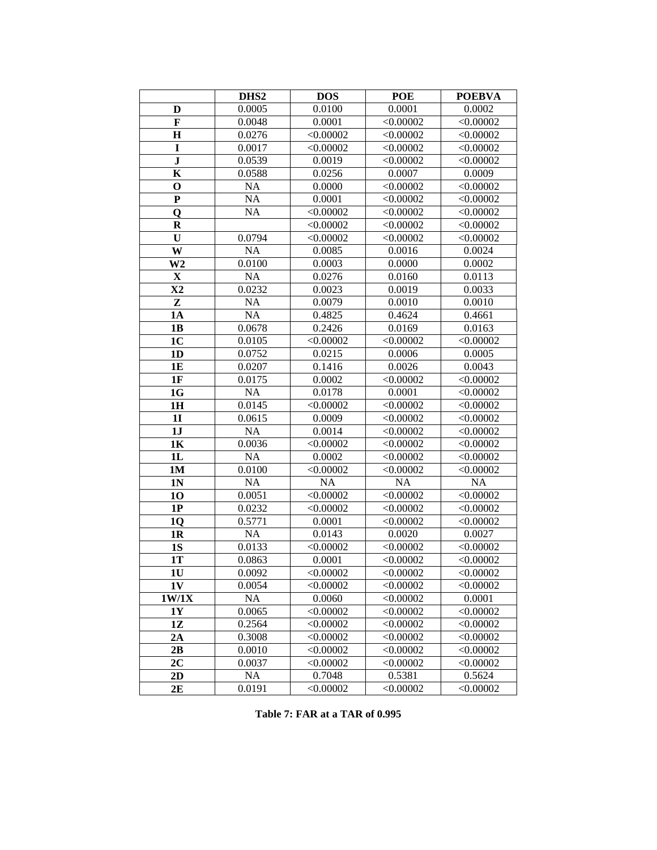|                | DHS <sub>2</sub> | <b>DOS</b> | <b>POE</b> | <b>POEBVA</b> |
|----------------|------------------|------------|------------|---------------|
| D              | 0.0005           | 0.0100     | 0.0001     | 0.0002        |
| $\mathbf F$    | 0.0048           | 0.0001     | < 0.00002  | < 0.00002     |
| $\mathbf H$    | 0.0276           | < 0.00002  | < 0.00002  | < 0.00002     |
| $\mathbf I$    | 0.0017           | < 0.00002  | < 0.00002  | < 0.00002     |
| $\bf J$        | 0.0539           | 0.0019     | < 0.00002  | < 0.00002     |
| $\bf K$        | 0.0588           | 0.0256     | 0.0007     | 0.0009        |
| $\mathbf 0$    | <b>NA</b>        | 0.0000     | < 0.00002  | < 0.00002     |
| ${\bf P}$      | NA               | 0.0001     | < 0.00002  | < 0.00002     |
| Q              | NA               | < 0.00002  | < 0.00002  | < 0.00002     |
| $\bf R$        |                  | < 0.00002  | < 0.00002  | < 0.00002     |
| U              | 0.0794           | < 0.00002  | < 0.00002  | < 0.00002     |
| W              | <b>NA</b>        | 0.0085     | 0.0016     | 0.0024        |
| W <sub>2</sub> | 0.0100           | 0.0003     | 0.0000     | 0.0002        |
| $\mathbf X$    | <b>NA</b>        | 0.0276     | 0.0160     | 0.0113        |
| $\mathbf{X}2$  | 0.0232           | 0.0023     | 0.0019     | 0.0033        |
| Z              | <b>NA</b>        | 0.0079     | 0.0010     | 0.0010        |
| 1A             | <b>NA</b>        | 0.4825     | 0.4624     | 0.4661        |
| 1B             | 0.0678           | 0.2426     | 0.0169     | 0.0163        |
| 1 <sub>C</sub> | 0.0105           | < 0.00002  | < 0.00002  | < 0.00002     |
| 1 <sub>D</sub> | 0.0752           | 0.0215     | 0.0006     | 0.0005        |
| <b>1E</b>      | 0.0207           | 0.1416     | 0.0026     | 0.0043        |
| 1F             | 0.0175           | 0.0002     | < 0.00002  | < 0.00002     |
| 1G             | <b>NA</b>        | 0.0178     | 0.0001     | < 0.00002     |
| 1H             | 0.0145           | < 0.00002  | < 0.00002  | < 0.00002     |
| 1 <sub>I</sub> | 0.0615           | 0.0009     | < 0.00002  | < 0.00002     |
| 1J             | <b>NA</b>        | 0.0014     | < 0.00002  | < 0.00002     |
| 1K             | 0.0036           | < 0.00002  | < 0.00002  | < 0.00002     |
| 1L             | <b>NA</b>        | 0.0002     | < 0.00002  | < 0.00002     |
| 1 <sub>M</sub> | 0.0100           | < 0.00002  | < 0.00002  | < 0.00002     |
| 1 <sub>N</sub> | <b>NA</b>        | <b>NA</b>  | <b>NA</b>  | <b>NA</b>     |
| 10             | 0.0051           | < 0.00002  | < 0.00002  | < 0.00002     |
| 1P             | 0.0232           | < 0.00002  | < 0.00002  | < 0.00002     |
| 1Q             | 0.5771           | 0.0001     | < 0.00002  | < 0.00002     |
| 1 <sub>R</sub> | NA               | 0.0143     | 0.0020     | 0.0027        |
| 1S             | 0.0133           | < 0.00002  | < 0.00002  | < 0.00002     |
| 1T             | 0.0863           | 0.0001     | < 0.00002  | < 0.00002     |
| 1 <sub>U</sub> | 0.0092           | < 0.00002  | < 0.00002  | < 0.00002     |
| 1V             | 0.0054           | < 0.00002  | < 0.00002  | < 0.00002     |
| 1W/1X          | <b>NA</b>        | 0.0060     | < 0.00002  | 0.0001        |
| 1Y             | 0.0065           | < 0.00002  | < 0.00002  | < 0.00002     |
| 1Z             | 0.2564           | < 0.00002  | < 0.00002  | < 0.00002     |
| 2A             | 0.3008           | < 0.00002  | < 0.00002  | < 0.00002     |
| 2B             | 0.0010           | < 0.00002  | < 0.00002  | < 0.00002     |
| 2C             | 0.0037           | < 0.00002  | < 0.00002  | < 0.00002     |
| 2D             | <b>NA</b>        | 0.7048     | 0.5381     | 0.5624        |
| 2E             | 0.0191           | < 0.00002  | < 0.00002  | < 0.00002     |

**Table 7: FAR at a TAR of 0.995**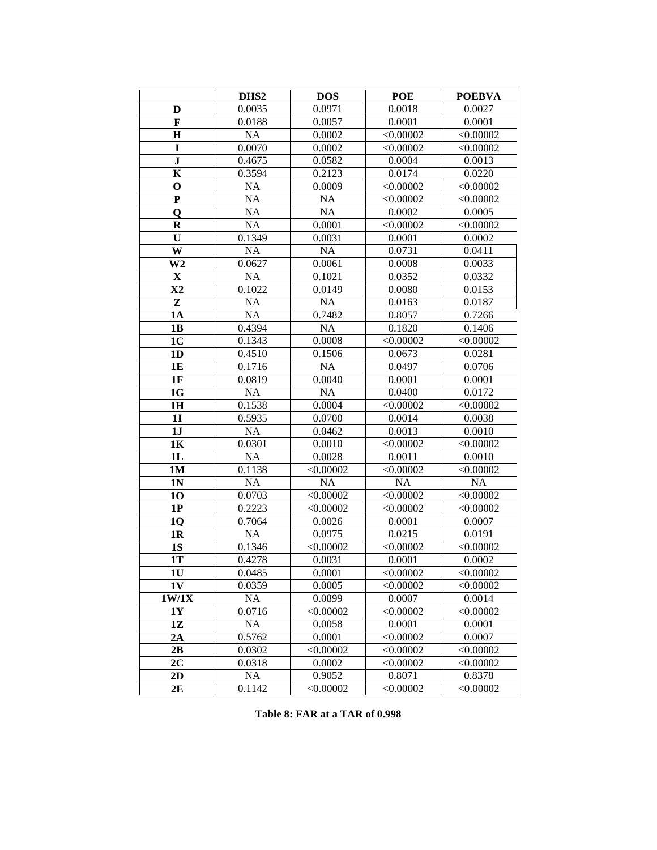|                | DHS <sub>2</sub> | <b>DOS</b> | <b>POE</b> | <b>POEBVA</b> |
|----------------|------------------|------------|------------|---------------|
| D              | 0.0035           | 0.0971     | 0.0018     | 0.0027        |
| $\mathbf F$    | 0.0188           | 0.0057     | 0.0001     | 0.0001        |
| $\mathbf H$    | <b>NA</b>        | 0.0002     | < 0.00002  | < 0.00002     |
| $\mathbf I$    | 0.0070           | 0.0002     | < 0.00002  | < 0.00002     |
| ${\bf J}$      | 0.4675           | 0.0582     | 0.0004     | 0.0013        |
| $\bf K$        | 0.3594           | 0.2123     | 0.0174     | 0.0220        |
| $\mathbf 0$    | <b>NA</b>        | 0.0009     | < 0.00002  | < 0.00002     |
| ${\bf P}$      | NA               | <b>NA</b>  | < 0.00002  | < 0.00002     |
| Q              | NA               | <b>NA</b>  | 0.0002     | 0.0005        |
| $\bf R$        | <b>NA</b>        | 0.0001     | < 0.00002  | < 0.00002     |
| U              | 0.1349           | 0.0031     | 0.0001     | 0.0002        |
| W              | <b>NA</b>        | <b>NA</b>  | 0.0731     | 0.0411        |
| W <sub>2</sub> | 0.0627           | 0.0061     | 0.0008     | 0.0033        |
| $\mathbf X$    | <b>NA</b>        | 0.1021     | 0.0352     | 0.0332        |
| $\mathbf{X}2$  | 0.1022           | 0.0149     | 0.0080     | 0.0153        |
| Z              | <b>NA</b>        | <b>NA</b>  | 0.0163     | 0.0187        |
| 1A             | <b>NA</b>        | 0.7482     | 0.8057     | 0.7266        |
| 1B             | 0.4394           | <b>NA</b>  | 0.1820     | 0.1406        |
| 1 <sub>C</sub> | 0.1343           | 0.0008     | < 0.00002  | < 0.00002     |
| 1 <sub>D</sub> | 0.4510           | 0.1506     | 0.0673     | 0.0281        |
| <b>1E</b>      | 0.1716           | <b>NA</b>  | 0.0497     | 0.0706        |
| 1F             | 0.0819           | 0.0040     | 0.0001     | 0.0001        |
| 1G             | <b>NA</b>        | <b>NA</b>  | 0.0400     | 0.0172        |
| 1H             | 0.1538           | 0.0004     | < 0.00002  | < 0.00002     |
| 1 <sub>I</sub> | 0.5935           | 0.0700     | 0.0014     | 0.0038        |
| 1J             | <b>NA</b>        | 0.0462     | 0.0013     | 0.0010        |
| 1K             | 0.0301           | 0.0010     | < 0.00002  | < 0.00002     |
| 1L             | <b>NA</b>        | 0.0028     | 0.0011     | 0.0010        |
| 1 <sub>M</sub> | 0.1138           | < 0.00002  | < 0.00002  | < 0.00002     |
| 1 <sub>N</sub> | <b>NA</b>        | <b>NA</b>  | NA         | <b>NA</b>     |
| 10             | 0.0703           | < 0.00002  | < 0.00002  | < 0.00002     |
| 1P             | 0.2223           | < 0.00002  | < 0.00002  | < 0.00002     |
| 1Q             | 0.7064           | 0.0026     | 0.0001     | 0.0007        |
| 1 <sub>R</sub> | <b>NA</b>        | 0.0975     | 0.0215     | 0.0191        |
| 1S             | 0.1346           | < 0.00002  | < 0.00002  | < 0.00002     |
| 1T             | 0.4278           | 0.0031     | 0.0001     | 0.0002        |
| 1 <sub>U</sub> | 0.0485           | 0.0001     | < 0.00002  | < 0.00002     |
| 1V             | 0.0359           | 0.0005     | < 0.00002  | < 0.00002     |
| 1W/1X          | <b>NA</b>        | 0.0899     | 0.0007     | 0.0014        |
| 1Y             | 0.0716           | < 0.00002  | < 0.00002  | < 0.00002     |
| 1Z             | <b>NA</b>        | 0.0058     | 0.0001     | 0.0001        |
| 2A             | 0.5762           | 0.0001     | < 0.00002  | 0.0007        |
| 2B             | 0.0302           | < 0.00002  | < 0.00002  | < 0.00002     |
| 2C             | 0.0318           | 0.0002     | < 0.00002  | < 0.00002     |
| 2D             | <b>NA</b>        | 0.9052     | 0.8071     | 0.8378        |
| 2E             | 0.1142           | < 0.00002  | < 0.00002  | < 0.00002     |

**Table 8: FAR at a TAR of 0.998**